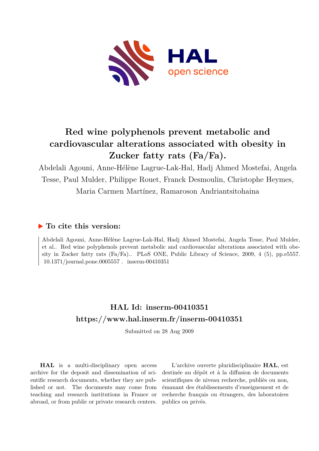

## **Red wine polyphenols prevent metabolic and cardiovascular alterations associated with obesity in Zucker fatty rats (Fa/Fa).**

Abdelali Agouni, Anne-Hélène Lagrue-Lak-Hal, Hadj Ahmed Mostefai, Angela Tesse, Paul Mulder, Philippe Rouet, Franck Desmoulin, Christophe Heymes, Maria Carmen Martínez, Ramaroson Andriantsitohaina

## **To cite this version:**

Abdelali Agouni, Anne-Hélène Lagrue-Lak-Hal, Hadj Ahmed Mostefai, Angela Tesse, Paul Mulder, et al.. Red wine polyphenols prevent metabolic and cardiovascular alterations associated with obesity in Zucker fatty rats (Fa/Fa).. PLoS ONE, Public Library of Science, 2009, 4 (5), pp.e5557.  $10.1371/journal.pone.0005557$  . inserm-00410351  $\,$ 

## **HAL Id: inserm-00410351 <https://www.hal.inserm.fr/inserm-00410351>**

Submitted on 28 Aug 2009

**HAL** is a multi-disciplinary open access archive for the deposit and dissemination of scientific research documents, whether they are published or not. The documents may come from teaching and research institutions in France or abroad, or from public or private research centers.

L'archive ouverte pluridisciplinaire **HAL**, est destinée au dépôt et à la diffusion de documents scientifiques de niveau recherche, publiés ou non, émanant des établissements d'enseignement et de recherche français ou étrangers, des laboratoires publics ou privés.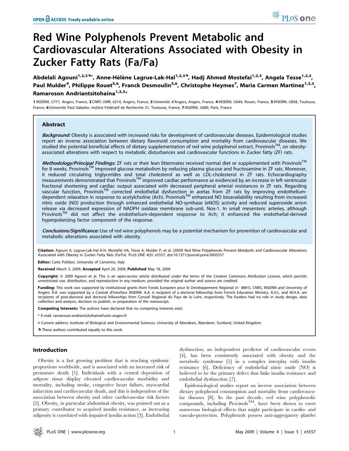# Red Wine Polyphenols Prevent Metabolic and Cardiovascular Alterations Associated with Obesity in Zucker Fatty Rats (Fa/Fa)

Abdelali Agouni<sup>1,2,39¤</sup>, Anne-Hélène Lagrue-Lak-Hal<sup>1,2,39</sup>, Hadj Ahmed Mostefai<sup>1,2,3</sup>, Angela Tesse<sup>1,2,3</sup>, Paul Mulder<sup>4</sup>, Philippe Rouet<sup>5,6</sup>, Franck Desmoulin<sup>5,6</sup>, Christophe Heymes<sup>7</sup>, Maria Carmen Martínez<sup>1,2,3</sup>, Ramaroson Andriantsitohaina $1,2,3*$ 

1 INSERM, U771, Angers, France, 2 CNRS UMR, 6214, Angers, France, 3 Université d'Angers, Angers, France, 4 INSERM, U644, Rouen, France, 5 INSERM, U858, Toulouse, France, 6 Université Paul Sabatier, Institut Fédératif de Recherche 31, Toulouse, France, 7 INSERM, U689, Paris, France

#### Abstract

Background: Obesity is associated with increased risks for development of cardiovascular diseases. Epidemiological studies report an inverse association between dietary flavonoid consumption and mortality from cardiovascular diseases. We studied the potential beneficial effects of dietary supplementation of red wine polyphenol extract, Provinols<sup>TM</sup>, on obesityassociated alterations with respect to metabolic disturbances and cardiovascular functions in Zucker fatty (ZF) rats.

Methodology/Principal Findings: ZF rats or their lean littermates received normal diet or supplemented with Provinols™ for 8 weeks. Provinols™ improved glucose metabolism by reducing plasma glucose and fructosamine in ZF rats. Moreover, it reduced circulating triglycerides and total cholesterol as well as LDL-cholesterol in ZF rats. Echocardiography  $m$  reasurements demonstrated that Provinols<sup>TM</sup> improved cardiac performance as evidenced by an increase in left ventricular fractional shortening and cardiac output associated with decreased peripheral arterial resistances in ZF rats. Regarding vascular function, Provinols<sup>TM</sup> corrected endothelial dysfunction in aortas from ZF rats by improving endotheliumdependent relaxation in response to acetylcholine (Ach). Provinols<sup>TM</sup> enhanced NO bioavailability resulting from increased nitric oxide (NO) production through enhanced endothelial NO-synthase (eNOS) activity and reduced superoxide anion release via decreased expression of NADPH oxidase membrane sub-unit, Nox-1. In small mesenteric arteries, although Provinols<sup>TM</sup> did not affect the endothelium-dependent response to Ach; it enhanced the endothelial-derived hyperpolarizing factor component of the response.

Conclusions/Significance: Use of red wine polyphenols may be a potential mechanism for prevention of cardiovascular and metabolic alterations associated with obesity.

Citation: Agouni A, Lagrue-Lak-Hal A-H, Mostefai HA, Tesse A, Mulder P, et al. (2009) Red Wine Polyphenols Prevent Metabolic and Cardiovascular Alterations Associated with Obesity in Zucker Fatty Rats (Fa/Fa). PLoS ONE 4(5): e5557. doi:10.1371/journal.pone.0005557

Editor: Carlo Polidori, University of Camerino, Italy

Received March 3, 2009; Accepted April 20, 2009; Published May 18, 2009

Copyright: @ 2009 Agouni et al. This is an open-access article distributed under the terms of the Creative Commons Attribution License, which permits unrestricted use, distribution, and reproduction in any medium, provided the original author and source are credited.

Funding: This work was supported by institutional grants from Fonds Europeen pour le Developpement Regional (n° 8891), CNRS, INSERM and University of Angers. R.A. was supported by a Contrat d'Interface INSERM. A.A. is recipient of a doctoral fellowship from French Education Ministry. A.H.L. and M.H.A. are recipients of post-doctoral and doctoral fellowships from Conseil Regional du Pays de la Loire, respectively. The funders had no role in study design, data collection and analysis, decision to publish, or preparation of the manuscript.

Competing Interests: The authors have declared that no competing interests exist.

\* E-mail: ramaroson.andriantsitohaina@univ-angers.fr

¤ Current address: Institute of Biological and Environmental Sciences, University of Aberdeen, Aberdeen, Scotland, United Kingdom

. These authors contributed equally to this work.

#### Introduction

Obesity is a fast growing problem that is reaching epidemic proportions worldwide, and is associated with an increased risk of premature death [1]. Individuals with a central deposition of adipose tissue display elevated cardiovascular morbidity and mortality, including stroke, congestive heart failure, myocardial infarction and cardiovascular death, and this is independent of the association between obesity and other cardiovascular risk factors [2]. Obesity, in particular abdominal obesity, was pointed out as a primary contributor to acquired insulin resistance, as increasing adiposity is correlated with impaired insulin action [3]. Endothelial

dysfunction, an independent predictor of cardiovascular events [4], has been consistently associated with obesity and the metabolic syndrome [5] in a complex interplay with insulin resistance [6]. Deficiency of endothelial nitric oxide (NO) is believed to be the primary defect that links insulin resistance and endothelial dysfunction [7].

Epidemiological studies report an inverse association between dietary polyphenol consumption and mortality from cardiovascular diseases [8]. In the past decade, red wine polyphenolic compounds, including Provinols<sup>TM</sup>, have been shown to exert numerous biological effects that might participate in cardio- and vasculo-protection. Polyphenols possess anti-aggregatory platelet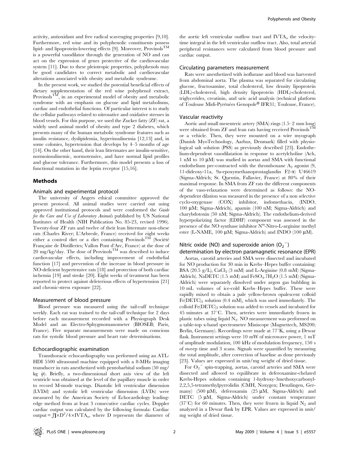activity, antioxidant and free radical scavenging properties [9,10]. Furthermore, red wine and its polyphenolic constituents possess lipid- and lipoprotein-lowering effects [9]. Moreover, Provinols<sup>TM</sup> is a powerful vasodilator through the generation of NO and can act on the expression of genes protective of the cardiovascular system [11]. Due to these pleiotropic properties, polyphenols may be good candidates to correct metabolic and cardiovascular alterations associated with obesity and metabolic syndrome.

In the present work, we studied the potential beneficial effects of dietary supplementation of the red wine polyphenol extract, Provinols<sup>TM</sup>, in an experimental model of obesity and metabolic syndrome with an emphasis on glucose and lipid metabolisms, cardiac and endothelial functions. Of particular interest is to study the cellular pathways related to nitrosative and oxidative stresses in blood vessels. For this purpose, we used the Zucker fatty (ZF) rat, a widely used animal model of obesity and type 2 diabetes, which presents many of the human metabolic syndrome features such as insulin resistance, dyslipidemia, hyperinsulinemia [12,13] and, in some colonies, hypertension that develops by 4–5 months of age [14]. On the other hand, their lean littermates are insulin-sensitive, normoinsulinemic, normotensive, and have normal lipid profiles and glucose tolerance. Furthermore, this model presents a loss of functional mutation in the leptin receptor [15,16].

#### Methods

#### Animals and experimental protocol

The university of Angers ethical committee approved the present protocol. All animal studies were carried out using approved institutional protocols and were conformed the Guide for the Care and Use of Laboratory Animals published by US National Institutes of Health (NIH Publication No. 85-23, revised 1996). Twenty-four ZF rats and twelve of their lean littermate non-obese rats (Charles River; L'Arbresle, France) received for eight weeks either a control diet or a diet containing Provinols<sup>TM</sup> (Société Française de Distilleries; Vallon Pont d'Arc, France) at the dose of  $20 \text{ mg/kg/day}$ . The dose of Provinols<sup>TM</sup> was described to induce cardiovascular effects, including improvement of endothelial function [17] and prevention of the increase in blood pressure in NO-deficient hypertensive rats [18] and protection of both cardiac ischemia [19] and stroke [20]. Eight weeks of treatment has been reported to protect against deleterious effects of hypertension [21] and chronic-stress exposure [22].

#### Measurement of blood pressure

Blood pressure was measured using the tail-cuff technique weekly. Each rat was trained to the tail-cuff technique for 2 days before each measurement recorded with a Physiograph Desk Model and an Electro-Sphygmomanometer (BIOSEB; Paris, France). Five separate measurements were made on conscious rats for systolic blood pressure and heart rate determinations.

#### Echocardiographic examination

Transthoracic echocardiography was performed using an ATL-HDI 5500 ultrasound machine equipped with a 8-MHz imaging transducer in rats anesthetized with pentobarbital sodium (50 mg/ kg  $ip$ ). Briefly, a two-dimensional short axis view of the left ventricle was obtained at the level of the papillary muscle in order to record M-mode tracings. Diastolic left ventricular dimension (LVDd) and systolic left ventricular dimension (LVDs) were measured by the American Society of Echocardiology leadingedge method from at least 3 consecutive cardiac cycles. Doppler cardiac output was calculated by the following formula: Cardiac output =  $\int \sqrt{D^2/4 \times IVTA_0}$ , where D represents the diameter of

the aortic left ventricular outflow tract and  $IVTA<sub>o</sub>$  the velocitytime integral in the left ventricular outflow tract. Also, total arterial peripheral resistances were calculated from blood pressure and cardiac output.

#### Circulating parameters measurement

Rats were anesthetized with isoflurane and blood was harvested from abdominal aorta. The plasma was separated for circulating glucose, fructosamine, total cholesterol, low density lipoprotein (LDL)-cholesterol, high density lipoprotein (HDL)-cholesterol, triglycerides, creatinin, and uric acid analysis (technical platform of Toulouse Midi-Pyrénées Genopole® IFR31; Toulouse, France).

#### Vascular reactivity

Aortic and small mesenteric artery (SMA) rings (1.5–2 mm long) were obtained from ZF and lean rats having received Provinols<sup>TM</sup> or a vehicle. Then, they were mounted on a wire myograph (Danish MyoTechnology, Aarhus, Denmark) filled with physiological salt solution (PSS) as previously described [23]. Endothelium-dependent vasodilatation in response to acetylcholine (Ach,  $1 \text{ nM}$  to  $10 \mu \text{M}$ ) was studied in aortas and SMA with functional endothelium pre-contracted with the thromboxane  $A_2$  agonist  $(9, 1)$ 11-dideoxy-11a, 9a-epoxymethanoprostaglandin F2-a) U46619 (Sigma-Aldrich; St. Quentin, Fallavier, France) at 80% of their maximal response. In SMA from ZF rats the different components of the vaso-relaxation were determined as follows: the NOdependent dilation was measured in the presence of a non selective cyclo-oxygenase (COX) inhibitor, indomethacin, (INDO, 100 mM; Sigma-Aldrich), apamin (100 nM; Sigma-Aldrich) and charybdotoxin (50 nM; Sigma-Aldrich). The endothelium-derived hyperpolarizing factor (EDHF) component was assessed in the presence of the NO synthase inhibitor  $N^{\omega}$ -Nitro-L-arginine methyl ester (L-NAME, 100  $\mu$ M; Sigma-Aldrich) and INDO (100  $\mu$ M).

## Nitric oxide (NO) and superoxide anion  $(O_2^-)$

determination by electron paramagnetic resonance (EPR) Aortas, carotid arteries and SMA were dissected and incubated for NO production for 30 min in Krebs–Hepes buffer containing: BSA (20.5 g/L), CaCl<sub>2</sub> (3 mM) and L-Arginine (0.8 mM) (Sigma-Aldrich). NaDETC (1.5 mM) and  $FeSO<sub>4</sub>$ .7H<sub>2</sub>O (1.5 mM) (Sigma-Aldrich) were separately dissolved under argon gas bubbling in 10 mL volumes of ice-cold Krebs–Hepes buffer. These were rapidly mixed to obtain a pale yellow-brown opalescent colloid  $Fe(DETC)_{2}$  solution (0.4 mM), which was used immediately. The colloid  $Fe(DETC)_{2}$  solution was added to vessels and incubated for  $45$  minutes at  $37^{\circ}$ C. Then, arteries were immediately frozen in plastic tubes using liquid  $N_2$ . NO measurement was performed on a table-top x-band spectrometer Miniscope (Magnettech, MS200; Berlin, Germany). Recordings were made at  $77^\circ$ K, using a Dewar flask. Instrument settings were 10 mW of microwave power, 1 mT of amplitude modulation, 100 kHz of modulation frequency, 150 s of sweep time and 3 scans. Signals were quantified by measuring the total amplitude, after correction of baseline as done previously [23]. Values are expressed in unit/mg weight of dried tissue.

For  $O_2$ <sup>-</sup> spin-trapping, aortas, carotid arteries and SMA were dissected and allowed to equilibrate in deferoxamine-chelated Krebs-Hepes solution containing 1-hydroxy-3methoxycarbonyl-2,2,5,5-tetramethylpyrrolidin (CMH, Noxygen; Denzlingen, Germany) (500  $\mu$ M), deferoxamin (25  $\mu$ M, Sigma-Aldrich) and DETC (5 µM, Sigma-Aldrich) under constant temperature (37<sup>o</sup>C) for 60 minutes. Then, they were frozen in liquid  $N_2$  and analyzed in a Dewar flask by EPR. Values are expressed in unit/ mg weight of dried tissue.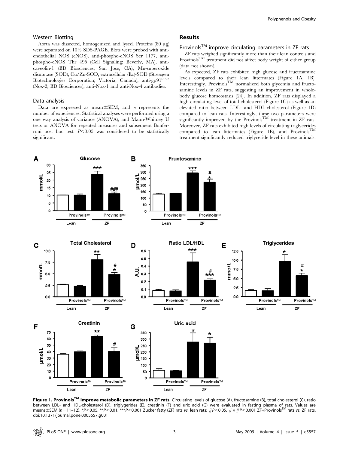#### Western Blotting

Aorta was dissected, homogenized and lysed. Proteins  $(80 \mu g)$ were separated on 10% SDS-PAGE. Blots were probed with antiendothelial NOS (eNOS), anti-phospho-eNOS Ser 1177, antiphospho-eNOS Thr 495 (Cell Signaling; Beverly, MA), anticaveolin-1 (BD Biosciences; San Jose, CA), Mn-superoxide dismutase (SOD), Cu/Zn-SOD, extracellular (Ec)-SOD (Stressgen Biotechnologies Corporation; Victoria, Canada), anti-gp91<sup>phox</sup> (Nox-2; BD Biosciences), anti-Nox-1 and anti-Nox-4 antibodies.

#### Data analysis

Data are expressed as mean $\pm$ SEM, and *n* represents the number of experiences. Statistical analyses were performed using a one way analysis of variance (ANOVA), and Mann-Whitney U tests or ANOVA for repeated measures and subsequent Bonferroni post hoc test.  $P<0.05$  was considered to be statistically significant.

#### Results

### Provinols<sup>TM</sup> improve circulating parameters in ZF rats

ZF rats weighed significantly more than their lean controls and Provinols<sup>TM</sup> treatment did not affect body weight of either group (data not shown).

As expected, ZF rats exhibited high glucose and fructosamine levels compared to their lean littermates (Figure 1A, 1B). Interestingly, Provinols<sup>TM</sup> normalized both glycemia and fructosamine levels in ZF rats, suggesting an improvement in wholebody glucose homeostasis [24]. In addition, ZF rats displayed a high circulating level of total cholesterol (Figure 1C) as well as an elevated ratio between LDL- and HDL-cholesterol (Figure 1D) compared to lean rats. Interestingly, these two parameters were significantly improved by the Provinols<sup>TM</sup> treatment in ZF rats. Moreover, ZF rats exhibited high levels of circulating triglycerides compared to lean littermates (Figure 1E), and Provinols<sup>TM</sup> treatment significantly reduced triglyceride level in these animals.



Figure 1. Provinols<sup>TM</sup> improve metabolic parameters in ZF rats. Circulating levels of glucose (A), fructosamine (B), total cholesterol (C), ratio between LDL- and HDL-cholesterol (D), triglygerides (E), creatinin (F) and uric acid (G) were evaluated in fasting plasma of rats. Values are means±SEM (n = 11-12). \*P<0.05, \*\*P<0.01, \*\*\*P<0.001 Zucker fatty (ZF) rats vs. lean rats; #P<0.05, ###P<0.001 ZF+Provinols™ rats vs. ZF rats. doi:10.1371/journal.pone.0005557.g001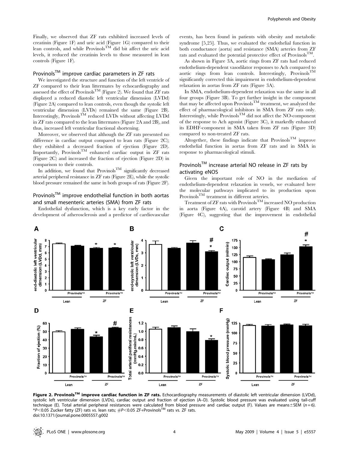Finally, we observed that ZF rats exhibited increased levels of creatinin (Figure 1F) and uric acid (Figure 1G) compared to their lean controls, and while Provinols<sup>TM</sup> did bit affect the uric acid levels, it reduced the creatinin levels to those measured in lean controls (Figure 1F).

## Provinols™ improve cardiac parameters in ZF rats

We investigated the structure and function of the left ventricle of ZF compared to their lean littermates by echocardiography and assessed the effect of Provinols<sup>TM</sup> (Figure 2). We found that ZF rats displayed a reduced diastolic left ventricular dimension (LVDd) (Figure 2A) compared to lean controls, even though the systolic left ventricular dimension (LVDs) remained the same (Figure 2B). Interestingly, Provinols<sup>TM</sup> reduced LVDs without affecting LVDd in ZF rats compared to the lean littermates (Figure 2A and 2B), and thus, increased left ventricular fractional shortening.

Moreover, we observed that although the ZF rats presented no difference in cardiac output compared to lean rats (Figure 2C); they exhibited a decreased fraction of ejection (Figure 2D). Importantly, Provinols<sup>TM</sup> enhanced cardiac output in ZF rats (Figure 2C) and increased the fraction of ejection (Figure 2D) in comparison to their controls.

In addition, we found that Provinols<sup>TM</sup> significantly decreased arterial peripheral resistance in ZF rats (Figure 2E), while the systolic blood pressure remained the same in both groups of rats (Figure 2F).

### Provinols™ improve endothelial function in both aortas and small mesenteric arteries (SMA) from ZF rats

Endothelial dysfunction, which is a key early factor in the development of atherosclerosis and a predictor of cardiovascular

events, has been found in patients with obesity and metabolic syndrome [5,25]. Thus, we evaluated the endothelial function in both conductance (aorta) and resistance (SMA) arteries from ZF rats and evaluated the potential protective effect of Provinols<sup>TM</sup>.

As shown in Figure 3A, aortic rings from ZF rats had reduced endothelium-dependent vasodilator responses to Ach compared to aortic rings from lean controls. Interestingly, Provinols<sup>TM</sup> significantly corrected this impairment in endothelium-dependent relaxation in aortas from ZF rats (Figure 3A).

In SMA, endothelium-dependent relaxation was the same in all four groups (Figure 3B). To get further insight in the component that may be affected upon Provinols<sup>TM</sup> treatment, we analyzed the effect of pharmacological inhibitors in SMA from ZF rats only. Interestingly, while  $\text{Provinols}^{\text{TM}}$  did not affect the NO-component of the response to Ach agonist (Figure 3C), it markedly enhanced its EDHF-component in SMA taken from ZF rats (Figure 3D) compared to non-treated ZF rats.

Altogether, these findings indicate that  $\operatorname{Provinols}^{\operatorname{TM}}$  improve endothelial function in aortas from ZF rats and in SMA in response to pharmacological stimuli.

## Provinols<sup>TM</sup> increase arterial NO release in ZF rats by activating eNOS

Given the important role of NO in the mediation of endothelium-dependent relaxation in vessels, we evaluated here the molecular pathways implicated to its production upon Provinols<sup>TM</sup> treatment in different arteries.

Treatment of  $ZF$  rats with Provinols<sup>TM</sup> increased NO production in aorta (Figure 4A), carotid artery (Figure 4B) and SMA (Figure 4C), suggesting that the improvement in endothelial



Figure 2. Provinols<sup>TM</sup> improve cardiac function in ZF rats. Echocardiography measurements of diastolic left ventricular dimension (LVDd), systolic left ventricular dimension (LVDs), cardiac output and fraction of ejection (A–D). Systolic blood pressure was evaluated using tail-cuff technique (E). Total arterial peripheral resistances were calculated from blood pressure and cardiac output (F). Values are means $\pm$ SEM (n = 6). \*P<0.05 Zucker fatty (ZF) rats vs. lean rats;  $\#P$ <0.05 ZF+Provinols<sup>TM</sup> rats vs. ZF rats. doi:10.1371/journal.pone.0005557.g002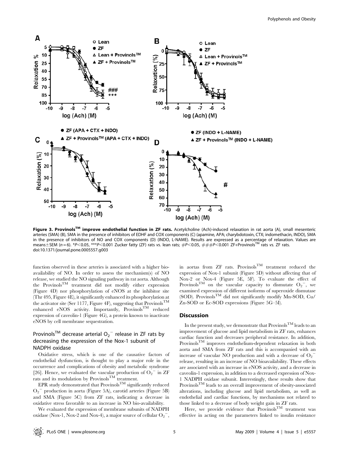

Figure 3. Provinols<sup>TM</sup> improve endothelial function in ZF rats. Acetylcholine (Ach)-induced relaxation in rat aorta (A), small mesenteric arteries (SMA) (B), SMA in the presence of inhibitors of EDHF and COX components (C) (apamine, APA; charybdotoxin, CTX; indomethacin, INDO), SMA in the presence of inhibitors of NO and COX components (D) (INDO, L-NAME). Results are expressed as a percentage of relaxation. Values are means $\pm$ SEM (n = 6). \*P<0.05, \*\*\*P<0.001 Zucker fatty (ZF) rats vs. lean rats;  $\#P$ <0.05,  $\# \#P$ <0.001 ZF+Provinols<sup>TM</sup> rats vs. ZF rats. doi:10.1371/journal.pone.0005557.g003

function observed in these arteries is associated with a higher bioavailability of NO. In order to assess the mechanism(s) of NO release, we studied the NO signaling pathway in rat aorta. Although the ProvinolsTM treatment did not modify either expression (Figure 4D) nor phosphorylation of eNOS at the inhibitor site (Thr 495, Figure 4E), it significantly enhanced its phosphorylation at the activator site (Ser 1177, Figure 4F), suggesting that Provinols<sup>TM</sup> enhanced eNOS activity. Importantly, Provinols<sup>TM</sup> reduced expression of caveolin-1 (Figure 4G), a protein known to inactivate eNOS by cell membrane sequestration.

### Provinols<sup>TM</sup> decrease arterial  $O_2$ <sup>-</sup> release in ZF rats by decreasing the expression of the Nox-1 subunit of NADPH oxidase

Oxidative stress, which is one of the causative factors of endothelial dysfunction, is thought to play a major role in the occurrence and complications of obesity and metabolic syndrome [26]. Hence, we evaluated the vascular production of  $O_2$ <sup>-</sup> in ZF rats and its modulation by  $Provinols<sup>TM</sup> treatment.$ 

EPR study demonstrated that  $P_{\text{rovinols}}^{\text{TM}}$  significantly reduced O2 <sup>2</sup> production in aorta (Figure 5A), carotid arteries (Figure 5B) and SMA (Figure 5C) from ZF rats, indicating a decrease in oxidative stress favorable to an increase in NO bio-availability.

We evaluated the expression of membrane subunits of NADPH oxidase (Nox-1, Nox-2 and Nox-4), a major source of cellular  $O_2$ , in aortas from ZF rats. Provinols<sup>TM</sup> treatment reduced the expression of Nox-1 subunit (Figure 5D) without affecting that of Nox-2 or Nox-4 (Figure 5E, 5F). To evaluate the effect of Provinols<sup>TM</sup> on the vascular capacity to dismutate  $O_2$ , we examined expression of different isoforms of superoxide dismutase (SOD). Provinols<sup>TM</sup> did not significantly modify Mn-SOD, Cu/ Zn-SOD or Ec-SOD expressions (Figure 5G–5I).

#### **Discussion**

In the present study, we demonstrate that  $\text{Provinols}^{\text{TM}}$  leads to an improvement of glucose and lipid metabolism in ZF rats, enhances cardiac function and decreases peripheral resistance. In addition, ProvinolsTM improves endothelium-dependent relaxation in both aorta and SMA from ZF rats and this is accompanied with an increase of vascular NO production and with a decrease of  $O_2$ <sup>-</sup> release, resulting in an increase of NO bioavailability. These effects are associated with an increase in eNOS activity, and a decrease in caveolin-1 expression, in addition to a decreased expression of Nox-1 NADPH oxidase subunit. Interestingly, these results show that ProvinolsTM leads to an overall improvement of obesity-associated alterations, including glucose and lipid metabolism, as well as endothelial and cardiac functions, by mechanisms not related to those linked to a decrease of body weight gain in ZF rats.

Here, we provide evidence that Provinols<sup>TM</sup> treatment was effective in acting on the parameters linked to insulin resistance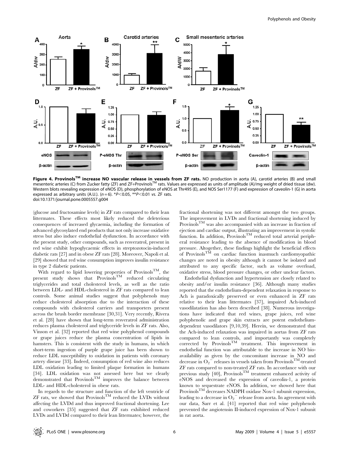

Figure 4. Provinols<sup>TM</sup> increase NO vascular release in vessels from ZF rats. NO production in aorta (A), carotid arteries (B) and small mesenteric arteries (C) from Zucker fatty (ZF) and ZF+ProvinolsTM rats. Values are expressed as units of amplitude (A)/mg weight of dried tissue (dw). Western blots revealing expression of eNOS (D), phosphorylation of eNOS at Thr495 (E), and NOS Ser1177 (F) and expression of caveolin-1 (G) in aorta expressed as arbitrary units (A.U.). ( $n = 6$ ). \* $P < 0.05$ , \*\* $P < 0.01$  vs. ZF rats. doi:10.1371/journal.pone.0005557.g004

(glucose and fructosamine levels) in ZF rats compared to their lean littermates. These effects most likely reduced the deleterious consequences of increased glycaemia, including the formation of advanced glycosylated end products that not only increase oxidative stress but also induce endothelial dysfunction. In accordance with the present study, other compounds, such as resveratrol, present in red wine exhibit hypoglycaemic effects in streptozotocin-induced diabetic rats [27] and in obese ZF rats [28]. Moreover, Napoli et al. [29] showed that red wine consumption improves insulin resistance in type 2 diabetic patients.

With regard to lipid lowering properties of Provinols<sup>TM</sup>, the present study shows that  $\overrightarrow{P}_{\text{rovinols}}^{\text{T}}$  reduced circulating triglycerides and total cholesterol levels, as well as the ratio between LDL- and HDL-cholesterol in ZF rats compared to lean controls. Some animal studies suggest that polyphenols may reduce cholesterol absorption due to the interaction of these compounds with cholesterol carriers and transporters present across the brush border membrane [30,31]. Very recently, Rivera et al. [28] have shown that long-term resveratrol administration reduces plasma cholesterol and triglyceride levels in ZF rats. Also, Vinson et al. [32] reported that red wine polyphenol compounds or grape juices reduce the plasma concentration of lipids in hamsters. This is consistent with the study in humans, in which short-term ingestion of purple grape juice has been shown to reduce LDL susceptibility to oxidation in patients with coronary artery disease [33]. Indeed, consumption of red wine also reduces LDL oxidation leading to limited plaque formation in humans [34]. LDL oxidation was not assessed here but we clearly demonstrated that  $P_{\text{rovinols}}^{\text{TM}}$  improves the balance between LDL- and HDL-cholesterol in obese rats.

In regards to the structure and function of the left ventricle of  $ZF$  rats, we showed that Provinols<sup>TM</sup> reduced the LVDs without affecting the LVDd and thus improved fractional shortening. Lee and coworkers [35] suggested that ZF rats exhibited reduced LVDs and LVDd compared to their lean littermates; however, the

fractional shortening was not different amongst the two groups. The improvement in LVDs and fractional shortening induced by Provinols<sup>TM</sup> was also accompanied with an increase in fraction of ejection and cardiac output, illustrating an improvement in systolic function. In addition, Provinols<sup>TM</sup> reduced total arterial peripheral resistance leading to the absence of modification in blood pressure. Altogether, these findings highlight the beneficial effects of Provinols<sup>TM</sup> on cardiac function inasmuch cardiomyopathic changes are noted in obesity although it cannot be isolated and attributed to any specific factor, such as volume overload, oxidative stress, blood pressure changes, or other unclear factors.

Endothelial dysfunction and hypertension are closely related to obesity and/or insulin resistance [36]. Although many studies reported that the endothelium-dependent relaxation in response to Ach is paradoxically preserved or even enhanced in ZF rats relative to their lean littermates [37], impaired Ach-induced vasodilatation has also been described [38]. Numerous investigations have indicated that red wines, grape juices, red wine polyphenolic and grape skin extracts are potent endotheliumdependent vasodilators [9,10,39]. Herein, we demonstrated that the Ach-induced relaxation was impaired in aortas from ZF rats compared to lean controls, and importantly was completely corrected by Provinols<sup>TM</sup> treatment. This improvement in endothelial function was attributable to the increase in NO bioavailability as given by the concomitant increase in NO and decrease in O<sub>2</sub><sup>-</sup> releases in vessels taken from Provinols<sup>TM</sup>-treated ZF rats compared to non-treated ZF rats. In accordance with our previous study [40], Provinols<sup>TM</sup> treatment enhanced activity of eNOS and decreased the expression of caveolin-1, a protein known to sequestrate eNOS. In addition, we showed here that Provinols<sup>TM</sup> decreases NADPH oxidase Nox-1 subunit expression, leading to a decrease in  $O_2^-$  release from aorta. In agreement with our data, Sarr et al. [41] reported that red wine polyphenols prevented the angiotensin II-induced expression of Nox-1 subunit in rat aorta.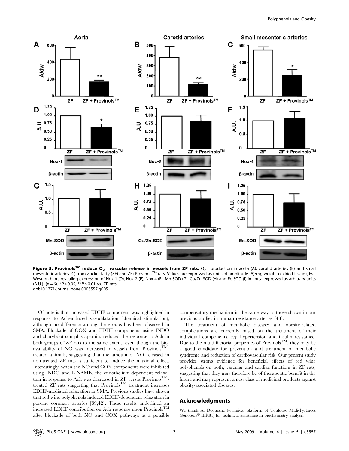

Figure 5. Provinols<sup>TM</sup> reduce O<sub>2</sub><sup>-</sup> vascular release in vessels from ZF rats. O<sub>2</sub><sup>-</sup> production in aorta (A), carotid arteries (B) and small mesenteric arteries (C) from Zucker fatty (ZF) and ZF+Provinols<sup>TM</sup> rats. Values are expressed as units of amplitude (A)/mg weight of dried tissue (dw). Western blots revealing expression of Nox-1 (D), Nox-2 (E), Nox-4 (F), Mn-SOD (G), Cu/Zn-SOD (H) and Ec-SOD (I) in aorta expressed as arbitrary units (A.U.). ( $n = 6$ ). \* $P < 0.05$ , \*\* $P < 0.01$  vs. ZF rats. doi:10.1371/journal.pone.0005557.g005

Of note is that increased EDHF component was highlighted in response to Ach-induced vasodilatation (chemical stimulation), although no difference among the groups has been observed in SMA. Blockade of COX and EDHF components using INDO and charybdotoxin plus apamin, reduced the response to Ach in both groups of ZF rats to the same extent, even though the bioavailability of NO was increased in vessels from  $\widetilde{\mathrm{Provinols}}^{\mathrm{TM}_{-}}$ treated animals, suggesting that the amount of NO released in non-treated ZF rats is sufficient to induce the maximal effect. Interestingly, when the NO and COX components were inhibited using INDO and L-NAME, the endothelium-dependent relaxation in response to Ach was decreased in ZF versus Provinols<sup>TM</sup>treated  $ZF$  rats suggesting that  $Provinols<sup>TM</sup>$  treatment increases EDHF-mediated relaxation in SMA. Previous studies have shown that red wine polyphenols induced EDHF-dependent relaxation in porcine coronary arteries [39,42]. These results underlined an increased EDHF contribution on Ach response upon Provinols<sup>TM</sup> after blockade of both NO and COX pathways as a possible

compensatory mechanism in the same way to those shown in our previous studies in human resistance arteries [43].

The treatment of metabolic diseases and obesity-related complications are currently based on the treatment of their individual components, e.g. hypertension and insulin resistance. Due to the multi-factorial properties of Provinols<sup>TM</sup>, they may be a good candidate for prevention and treatment of metabolic syndrome and reduction of cardiovascular risk. Our present study provides strong evidence for beneficial effects of red wine polyphenols on both, vascular and cardiac functions in ZF rats, suggesting that they may therefore be of therapeutic benefit in the future and may represent a new class of medicinal products against obesity-associated diseases.

#### Acknowledgments

We thank A. Dequesne (technical platform of Toulouse Midi-Pyrénées Genopole® IFR31) for technical assistance in biochemistry analysis.